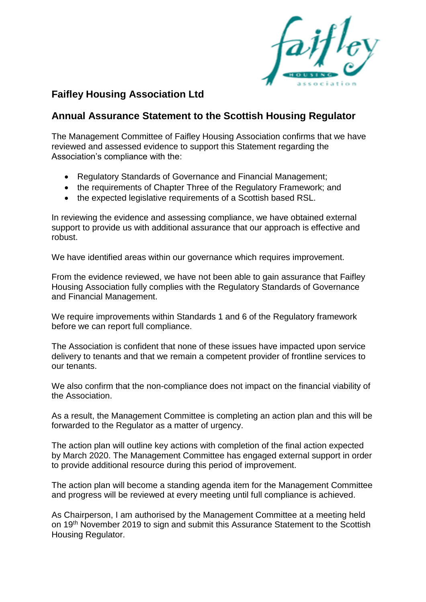

## **Faifley Housing Association Ltd**

## **Annual Assurance Statement to the Scottish Housing Regulator**

The Management Committee of Faifley Housing Association confirms that we have reviewed and assessed evidence to support this Statement regarding the Association's compliance with the:

- Regulatory Standards of Governance and Financial Management;
- the requirements of Chapter Three of the Regulatory Framework; and
- the expected legislative requirements of a Scottish based RSL.

In reviewing the evidence and assessing compliance, we have obtained external support to provide us with additional assurance that our approach is effective and robust.

We have identified areas within our governance which requires improvement.

From the evidence reviewed, we have not been able to gain assurance that Faifley Housing Association fully complies with the Regulatory Standards of Governance and Financial Management.

We require improvements within Standards 1 and 6 of the Regulatory framework before we can report full compliance.

The Association is confident that none of these issues have impacted upon service delivery to tenants and that we remain a competent provider of frontline services to our tenants.

We also confirm that the non-compliance does not impact on the financial viability of the Association.

As a result, the Management Committee is completing an action plan and this will be forwarded to the Regulator as a matter of urgency.

The action plan will outline key actions with completion of the final action expected by March 2020. The Management Committee has engaged external support in order to provide additional resource during this period of improvement.

The action plan will become a standing agenda item for the Management Committee and progress will be reviewed at every meeting until full compliance is achieved.

As Chairperson, I am authorised by the Management Committee at a meeting held on 19<sup>th</sup> November 2019 to sign and submit this Assurance Statement to the Scottish Housing Regulator.